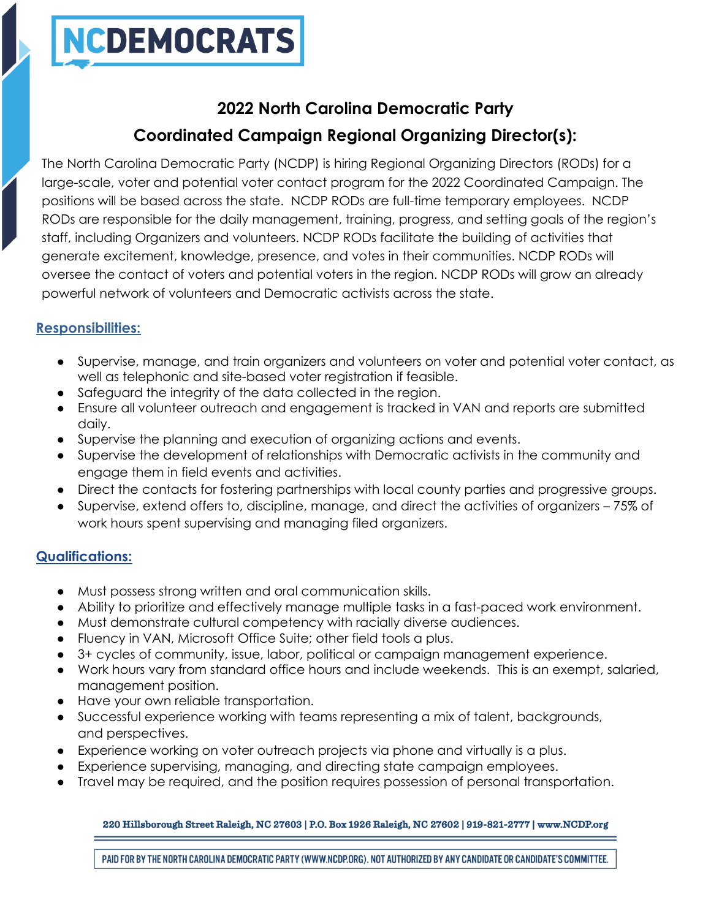

# **2022 North Carolina Democratic Party Coordinated Campaign Regional Organizing Director(s):**

The North Carolina Democratic Party (NCDP) is hiring Regional Organizing Directors (RODs) for a large-scale, voter and potential voter contact program for the 2022 Coordinated Campaign. The positions will be based across the state. NCDP RODs are full-time temporary employees. NCDP RODs are responsible for the daily management, training, progress, and setting goals of the region's staff, including Organizers and volunteers. NCDP RODs facilitate the building of activities that generate excitement, knowledge, presence, and votes in their communities. NCDP RODs will oversee the contact of voters and potential voters in the region. NCDP RODs will grow an already powerful network of volunteers and Democratic activists across the state.

# **Responsibilities:**

- Supervise, manage, and train organizers and volunteers on voter and potential voter contact, as well as telephonic and site-based voter registration if feasible.
- Safeguard the integrity of the data collected in the region.
- Ensure all volunteer outreach and engagement is tracked in VAN and reports are submitted daily.
- Supervise the planning and execution of organizing actions and events.
- Supervise the development of relationships with Democratic activists in the community and engage them in field events and activities.
- Direct the contacts for fostering partnerships with local county parties and progressive groups.
- Supervise, extend offers to, discipline, manage, and direct the activities of organizers 75% of work hours spent supervising and managing filed organizers.

### **Qualifications:**

- Must possess strong written and oral communication skills.
- Ability to prioritize and effectively manage multiple tasks in a fast-paced work environment.
- Must demonstrate cultural competency with racially diverse audiences.
- Fluency in VAN, Microsoft Office Suite; other field tools a plus.
- 3+ cycles of community, issue, labor, political or campaign management experience.
- Work hours vary from standard office hours and include weekends. This is an exempt, salaried, management position.
- Have your own reliable transportation.
- Successful experience working with teams representing a mix of talent, backgrounds, and perspectives.
- Experience working on voter outreach projects via phone and virtually is a plus.
- Experience supervising, managing, and directing state campaign employees.
- Travel may be required, and the position requires possession of personal transportation.

## 220 Hillsborough Street Raleigh, NC 27603 | P.O. Box 1926 Raleigh, NC 27602 | 919-821-2777 | www.NCDP.org

PAID FOR BY THE NORTH CAROLINA DEMOCRATIC PARTY (WWW.NCDP.ORG). NOT AUTHORIZED BY ANY CANDIDATE OR CANDIDATE'S COMMITTEE.